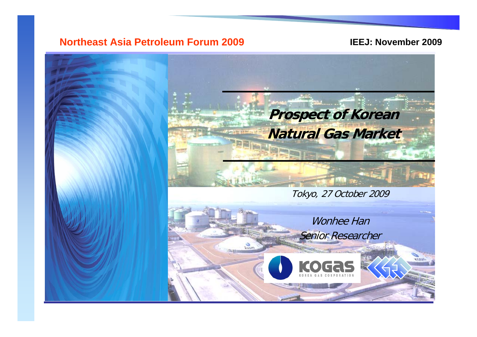### **Northeast Asia Petroleum Forum 2009**

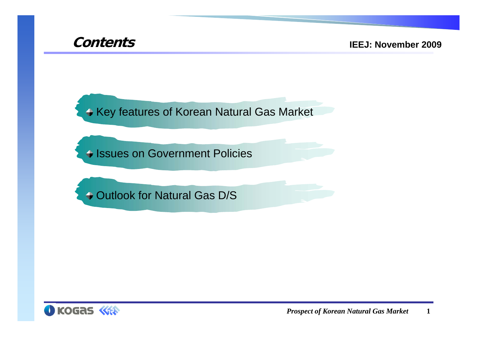

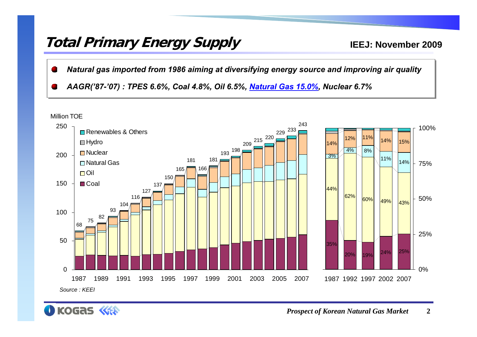### **Total Primary Energy Supply**

- *Natural gas imported from 1986 aiming at diversifying energy source and improving air quality Natural gas imported from 1986 aiming at diversifying energy source and improving air quality*
- *AAGR('87-'07) : TPES 6.6%, Coal 4.8%, Oil 6.5%, Natural Gas 15.0%, Nuclear 6.7% AAGR('87-'07) : TPES 6.6%, Coal 4.8%, Oil 6.5%, Natural Gas 15.0%, Nuclear 6.7%*



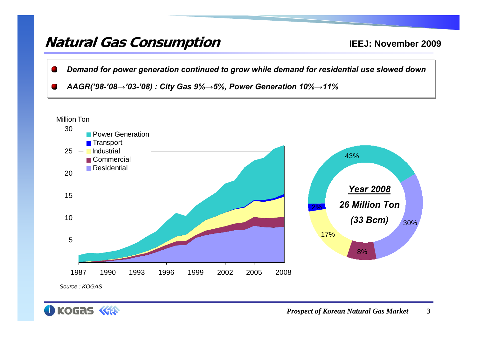### **Natural Gas Consumption**

- *Demand for power generation continued to grow while demand for residential use slowed down Demand for power generation continued to grow while demand for residential use slowed down*
- AAGR('98-'08 $\rightarrow$ '03-'08) : City Gas 9% $\rightarrow$ 5%, Power Generation 10% $\rightarrow$ 11%



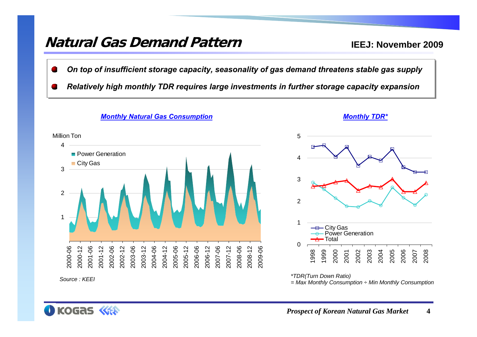### **Natural Gas Demand Pattern**

**IEEJ: November 2009**

- *On top of insufficient storage capacity, seasonality of gas demand threatens stable gas supply On top of insufficient storage capacity, seasonality of gas demand threatens stable gas supply*
- *Relatively high monthly TDR requires large investments in further storage capacity expansion Relatively high monthly TDR requires large investments in further storage capacity expansion*



#### *Monthly Natural Gas Consumption Monthly TDR\**



*\*TDR(Turn Down Ratio) = Max Monthly Consumption ÷ Min Monthly Consumption*

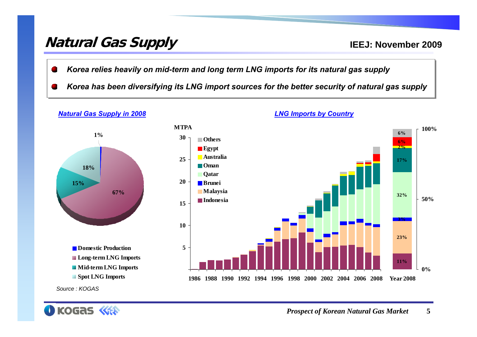## **Natural Gas Supply**

- *Korea relies heavily on mid-term and long term LNG imports for its natural gas supply Korea relies heavily on mid-term and long term LNG imports for its natural gas supply*
- *Korea has been diversifying its LNG import sources for the better security of natural gas supply Korea has been diversifying its LNG import sources for the better security of natural gas supply*





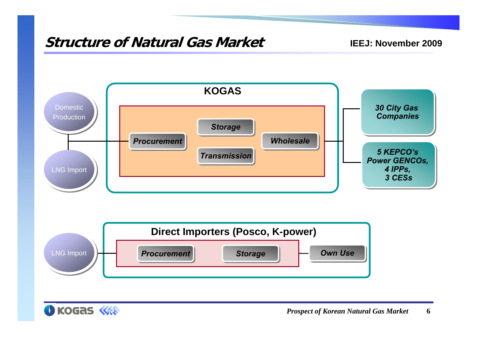### **Structure of Natural Gas Market**





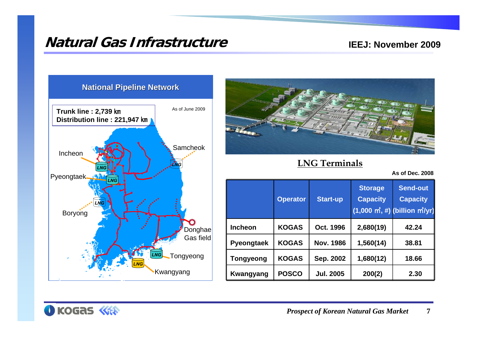### **Natural Gas Infrastructure**

#### **IEEJ: November 2009**





**LNG Terminals**

**As of Dec. 2008**

|                   | <b>Operator</b> | <b>Start-up</b>  | <b>Storage</b><br><b>Capacity</b> | <b>Send-out</b><br><b>Capacity</b><br>$(1,000 \; \text{m}^2, \#)$ (billion $\text{m}^2/\text{yr}$ ) |
|-------------------|-----------------|------------------|-----------------------------------|-----------------------------------------------------------------------------------------------------|
| <b>Incheon</b>    | <b>KOGAS</b>    | Oct. 1996        | 2,680(19)                         | 42.24                                                                                               |
| <b>Pyeongtaek</b> | <b>KOGAS</b>    | <b>Nov. 1986</b> | 1,560(14)                         | 38.81                                                                                               |
| <b>Tongyeong</b>  | <b>KOGAS</b>    | Sep. 2002        | 1,680(12)                         | 18.66                                                                                               |
| <b>Kwangyang</b>  | <b>POSCO</b>    | <b>Jul. 2005</b> | 200(2)                            | 2.30                                                                                                |

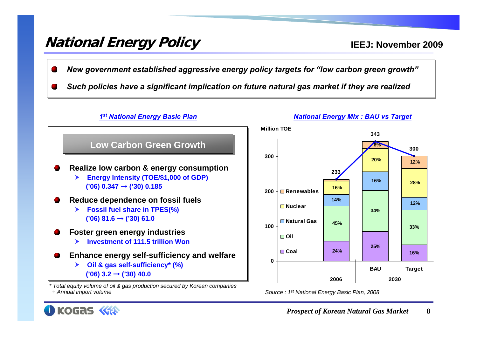## **National Energy Policy**

- *New government established aggressive energy policy targets for "low carbon green growth" New government established aggressive energy policy targets for "low carbon green growth"*
- *Such policies have a significant implication on future natural gas market if they are realized Such policies have a significant implication on future natural gas market if they are realized*



*Source : 1st National Energy Basic Plan, 2008*



*÷ Annual import volume*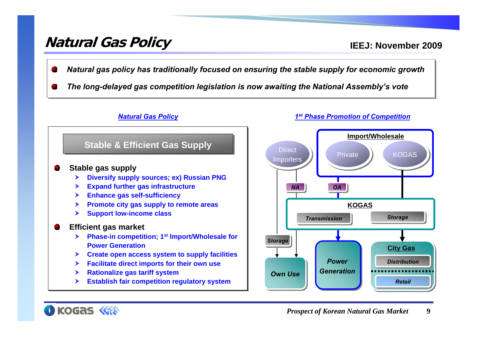### **Natural Gas Policy**

- *Natural gas policy has traditionally focused on ensuring the stable supply for economic growth Natural gas policy has traditionally focused on ensuring the stable supply for economic growth*
- *The long-delayed gas competition legislation is now awaiting the National Assembly's vote The long-delayed gas competition legislation is now awaiting the National Assembly's vote*



![](_page_9_Figure_6.jpeg)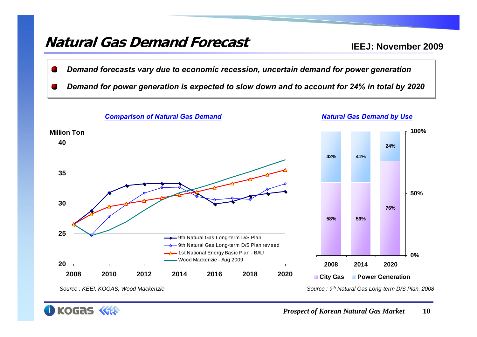### **Natural Gas Demand Forecast**

**IEEJ: November 2009**

*Demand forecasts vary due to economic recession, uncertain demand for power generation Demand forecasts vary due to economic recession, uncertain demand for power generation* 

*Demand for power generation is expected to slow down and to account for 24% in total by 2020 Demand for power generation is expected to slow down and to account for 24% in total by 2020*

![](_page_10_Figure_4.jpeg)

*Source : KEEI, KOGAS, Wood Mackenzie*

**KOGAS** 

*Prospect of Korean Natural Gas Market* **10**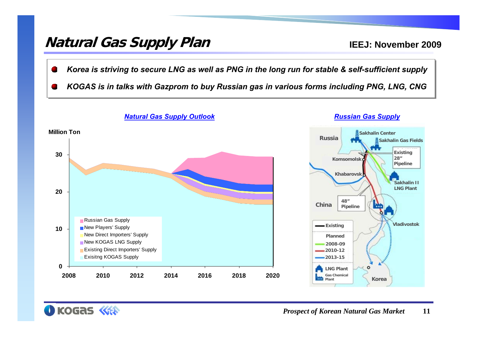### **Natural Gas Supply Plan**

KOGAS <<<

- *Korea is striving to secure LNG as well as PNG in the long run for stable & self-sufficient supply Korea is striving to secure LNG as well as PNG in the long run for stable & self-sufficient supply*
- *KOGAS is in talks with Gazprom to buy Russian gas in various forms including PNG, LNG, CNG KOGAS is in talks with Gazprom to buy Russian gas in various forms including PNG, LNG, CNG*

![](_page_11_Figure_4.jpeg)

![](_page_11_Picture_5.jpeg)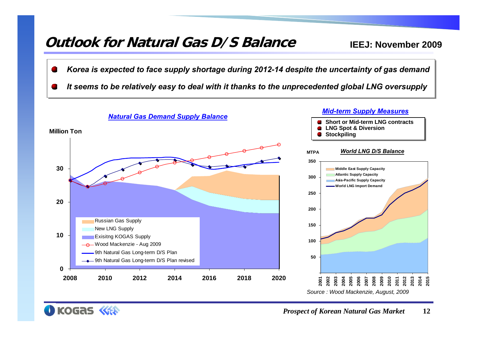### **Outlook for Natural Gas D/S Balance**

KOGAS

- *Korea is expected to face supply shortage during 2012-14 despite the uncertainty of gas demand Korea is expected to face supply shortage during 2012-14 despite the uncertainty of gas demand*
- *It seems to be relatively easy to deal with it thanks to the unprecedented global LNG oversupply It seems to be relatively easy to deal with it thanks to the unprecedented global LNG oversupply*

![](_page_12_Figure_4.jpeg)

![](_page_12_Picture_5.jpeg)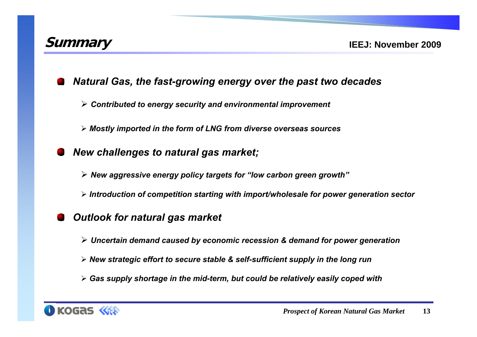![](_page_13_Picture_0.jpeg)

*Natural Gas, the fast-growing energy over the past two decades*

*Contributed to energy security and environmental improvement*

*Mostly imported in the form of LNG from diverse overseas sources*

*New challenges to natural gas market;*

*New aggressive energy policy targets for "low carbon green growth"*

*Introduction of competition starting with import/wholesale for power generation sector*

*Outlook for natural gas market* 

*Uncertain demand caused by economic recession & demand for power generation*

- *New strategic effort to secure stable & self-sufficient supply in the long run*
- *Gas supply shortage in the mid-term, but could be relatively easily coped with*

![](_page_13_Picture_12.jpeg)